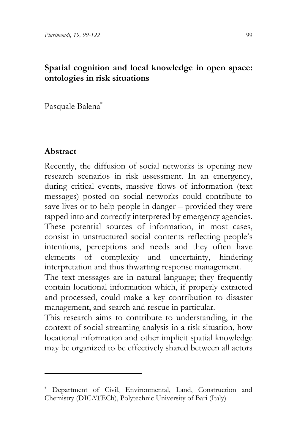### **Spatial cognition and local knowledge in open space: ontologies in risk situations**

Pasquale Balena[\\*1](#page-0-0)

## **Abstract**

Recently, the diffusion of social networks is opening new research scenarios in risk assessment. In an emergency, during critical events, massive flows of information (text messages) posted on social networks could contribute to save lives or to help people in danger – provided they were tapped into and correctly interpreted by emergency agencies. These potential sources of information, in most cases, consist in unstructured social contents reflecting people's intentions, perceptions and needs and they often have elements of complexity and uncertainty, hindering interpretation and thus thwarting response management.

The text messages are in natural language; they frequently contain locational information which, if properly extracted and processed, could make a key contribution to disaster management, and search and rescue in particular.

<span id="page-0-0"></span>This research aims to contribute to understanding, in the context of social streaming analysis in a risk situation, how locational information and other implicit spatial knowledge may be organized to be effectively shared between all actors

<sup>\*</sup> Department of Civil, Environmental, Land, Construction and Chemistry (DICATECh), Polytechnic University of Bari (Italy)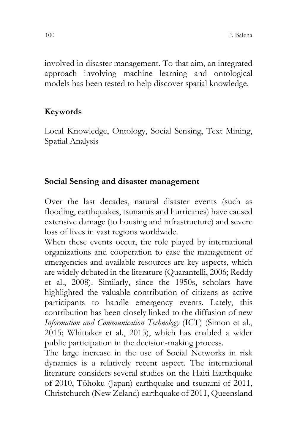involved in disaster management. To that aim, an integrated approach involving machine learning and ontological models has been tested to help discover spatial knowledge.

## **Keywords**

Local Knowledge, Ontology, Social Sensing, Text Mining, Spatial Analysis

#### **Social Sensing and disaster management**

Over the last decades, natural disaster events (such as flooding, earthquakes, tsunamis and hurricanes) have caused extensive damage (to housing and infrastructure) and severe loss of lives in vast regions worldwide.

When these events occur, the role played by international organizations and cooperation to ease the management of emergencies and available resources are key aspects, which are widely debated in the literature (Quarantelli, 2006; Reddy et al., 2008). Similarly, since the 1950s, scholars have highlighted the valuable contribution of citizens as active participants to handle emergency events. Lately, this contribution has been closely linked to the diffusion of new *Information and Communication Technology* (ICT) (Simon et al., 2015; Whittaker et al., 2015), which has enabled a wider public participation in the decision-making process.

The large increase in the use of Social Networks in risk dynamics is a relatively recent aspect. The international literature considers several studies on the Haiti Earthquake of 2010, Tōhoku (Japan) earthquake and tsunami of 2011, Christchurch (New Zeland) earthquake of 2011, Queensland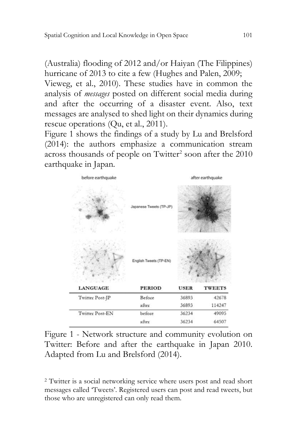(Australia) flooding of 2012 and/or Haiyan (The Filippines) hurricane of 2013 to cite a few (Hughes and Palen, 2009; Vieweg, et al., 2010). These studies have in common the analysis of *messages* posted on different social media during and after the occurring of a disaster event. Also, text

messages are analysed to shed light on their dynamics during rescue operations (Qu, et al., 2011)[.](#page-2-0)

[Figure](#page-2-0) 1 shows the findings of a study by Lu and Brelsford (2014): the authors emphasize a communication stream across thousands of people on Twitter<sup>[2](#page-2-1)</sup> soon after the 2010 earthquake in Japan.

<span id="page-2-0"></span>

Figure 1 - Network structure and community evolution on Twitter: Before and after the earthquake in Japan 2010. Adapted from Lu and Brelsford (2014).

<span id="page-2-1"></span><sup>2</sup> Twitter is a social networking service where users post and read short messages called 'Tweets'. Registered users can post and read tweets, but those who are unregistered can only read them.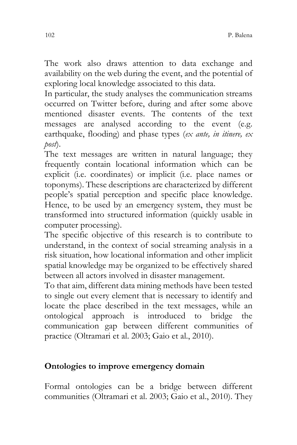The work also draws attention to data exchange and availability on the web during the event, and the potential of exploring local knowledge associated to this data.

In particular, the study analyses the communication streams occurred on Twitter before, during and after some above mentioned disaster events. The contents of the text messages are analysed according to the event (e.g. earthquake, flooding) and phase types (*ex ante, in itinere, ex post*).

The text messages are written in natural language; they frequently contain locational information which can be explicit (i.e. coordinates) or implicit (i.e. place names or toponyms). These descriptions are characterized by different people's spatial perception and specific place knowledge. Hence, to be used by an emergency system, they must be transformed into structured information (quickly usable in computer processing).

The specific objective of this research is to contribute to understand, in the context of social streaming analysis in a risk situation, how locational information and other implicit spatial knowledge may be organized to be effectively shared between all actors involved in disaster management.

To that aim, different data mining methods have been tested to single out every element that is necessary to identify and locate the place described in the text messages, while an ontological approach is introduced to bridge the communication gap between different communities of practice (Oltramari et al. 2003; Gaio et al., 2010).

## **Ontologies to improve emergency domain**

Formal ontologies can be a bridge between different communities (Oltramari et al. 2003; Gaio et al., 2010). They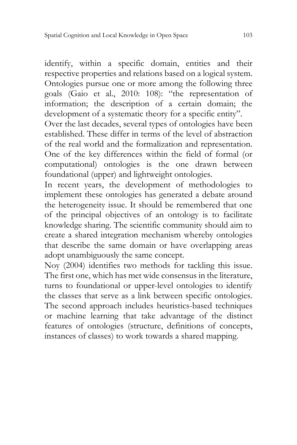identify, within a specific domain, entities and their respective properties and relations based on a logical system. Ontologies pursue one or more among the following three goals (Gaio et al., 2010: 108): "the representation of information; the description of a certain domain; the development of a systematic theory for a specific entity".

Over the last decades, several types of ontologies have been established. These differ in terms of the level of abstraction of the real world and the formalization and representation. One of the key differences within the field of formal (or computational) ontologies is the one drawn between foundational (upper) and lightweight ontologies.

In recent years, the development of methodologies to implement these ontologies has generated a debate around the heterogeneity issue. It should be remembered that one of the principal objectives of an ontology is to facilitate knowledge sharing. The scientific community should aim to create a shared integration mechanism whereby ontologies that describe the same domain or have overlapping areas adopt unambiguously the same concept.

Noy (2004) identifies two methods for tackling this issue. The first one, which has met wide consensus in the literature, turns to foundational or upper-level ontologies to identify the classes that serve as a link between specific ontologies. The second approach includes heuristics-based techniques or machine learning that take advantage of the distinct features of ontologies (structure, definitions of concepts, instances of classes) to work towards a shared mapping.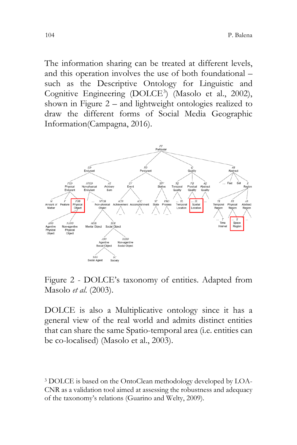The information sharing can be treated at different levels, and this operation involves the use of both foundational – such as the Descriptive Ontology for Linguistic and Cognitive Engineering (DOLCE<sup>[3](#page-5-0)</sup>) (Masolo et al., 2002), shown in Figure 2 – and lightweight ontologies realized to draw the different forms of Social Media Geographic Information(Campagna, 2016).



Figure 2 - DOLCE's taxonomy of entities. Adapted from Masolo *et al*. (2003).

DOLCE is also a Multiplicative ontology since it has a general view of the real world and admits distinct entities that can share the same Spatio-temporal area (i.e. entities can be co-localised) (Masolo et al., 2003).

<span id="page-5-0"></span><sup>3</sup> DOLCE is based on the OntoClean methodology developed by LOA-CNR as a validation tool aimed at assessing the robustness and adequacy of the taxonomy's relations (Guarino and Welty, 2009).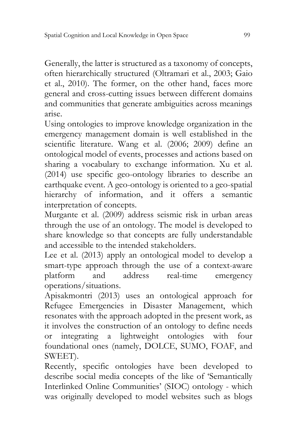Generally, the latter is structured as a taxonomy of concepts, often hierarchically structured (Oltramari et al., 2003; Gaio et al., 2010). The former, on the other hand, faces more general and cross-cutting issues between different domains and communities that generate ambiguities across meanings arise.

Using ontologies to improve knowledge organization in the emergency management domain is well established in the scientific literature. Wang et al. (2006; 2009) define an ontological model of events, processes and actions based on sharing a vocabulary to exchange information. Xu et al. (2014) use specific geo-ontology libraries to describe an earthquake event. A geo-ontology is oriented to a geo-spatial hierarchy of information, and it offers a semantic interpretation of concepts.

Murgante et al. (2009) address seismic risk in urban areas through the use of an ontology. The model is developed to share knowledge so that concepts are fully understandable and accessible to the intended stakeholders.

Lee et al. (2013) apply an ontological model to develop a smart-type approach through the use of a context-aware platform and address real-time emergency operations/situations.

Apisakmontri (2013) uses an ontological approach for Refugee Emergencies in Disaster Management, which resonates with the approach adopted in the present work, as it involves the construction of an ontology to define needs<br>or integrating a lightweight ontologies with four or integrating a lightweight ontologies with four foundational ones (namely, DOLCE, SUMO, FOAF, and SWEET).

Recently, specific ontologies have been developed to describe social media concepts of the like of 'Semantically Interlinked Online Communities' (SIOC) ontology - which was originally developed to model websites such as blogs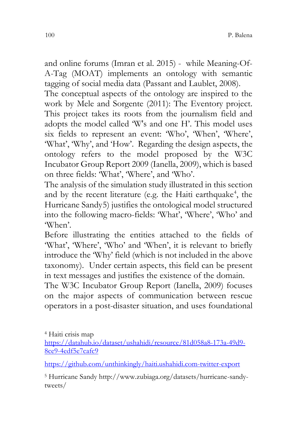and online forums (Imran et al. 2015) - while Meaning-Of-A-Tag (MOAT) implements an ontology with semantic tagging of social media data (Passant and Laublet, 2008).

The conceptual aspects of the ontology are inspired to the work by Mele and Sorgente (2011): The Eventory project. This project takes its roots from the journalism field and adopts the model called 'W's and one H'. This model uses six fields to represent an event: 'Who', 'When', 'Where', 'What', 'Why', and 'How'. Regarding the design aspects, the ontology refers to the model proposed by the W3C Incubator Group Report 2009 (Ianella, 2009), which is based on three fields: 'What', 'Where', and 'Who'.

The analysis of the simulation study illustrated in this section and by the recent literature (e.g. the Haiti earthquake<sup>[4](#page-7-0)</sup>, the Hurricane Sandy[5\)](#page-7-1) justifies the ontological model structured into the following macro-fields: 'What', 'Where', 'Who' and 'When'.

Before illustrating the entities attached to the fields of 'What', 'Where', 'Who' and 'When', it is relevant to briefly introduce the 'Why' field (which is not included in the above taxonomy). Under certain aspects, this field can be present in text messages and justifies the existence of the domain.

The W3C Incubator Group Report (Ianella, 2009) focuses on the major aspects of communication between rescue operators in a post-disaster situation, and uses foundational

<span id="page-7-0"></span><sup>4</sup> Haiti crisis map [https://datahub.io/dataset/ushahidi/resource/81d058a8-173a-49d9-](https://datahub.io/dataset/ushahidi/resource/81d058a8-173a-49d9-8ce9-4edf5e7cafc9) [8ce9-4edf5e7cafc9](https://datahub.io/dataset/ushahidi/resource/81d058a8-173a-49d9-8ce9-4edf5e7cafc9)

<https://github.com/unthinkingly/haiti.ushahidi.com-twitter-export>

<span id="page-7-1"></span><sup>5</sup> Hurricane Sandy http://www.zubiaga.org/datasets/hurricane-sandytweets/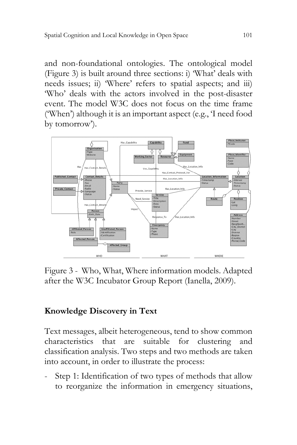and non-foundational ontologies. The ontological model (Figure 3) is built around three sections: i) 'What' deals with needs issues; ii) 'Where' refers to spatial aspects; and iii) 'Who' deals with the actors involved in the post-disaster event. The model W3C does not focus on the time frame ('When') although it is an important aspect (e.g., 'I need food by tomorrow').



Figure 3 - Who, What, Where information models. Adapted after the W3C Incubator Group Report (Ianella, 2009).

### **Knowledge Discovery in Text**

Text messages, albeit heterogeneous, tend to show common characteristics that are suitable for clustering and classification analysis. Two steps and two methods are taken into account, in order to illustrate the process:

Step 1: Identification of two types of methods that allow to reorganize the information in emergency situations,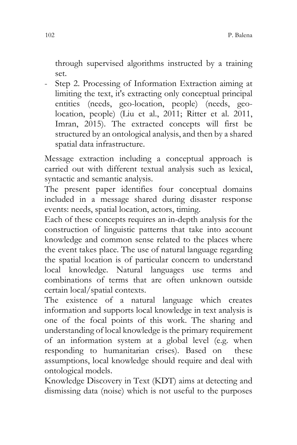through supervised algorithms instructed by a training set.

Step 2. Processing of Information Extraction aiming at limiting the text, it's extracting only conceptual principal entities (needs, geo-location, people) (needs, geolocation, people) (Liu et al., 2011; Ritter et al. 2011, Imran, 2015). The extracted concepts will first be structured by an ontological analysis, and then by a shared spatial data infrastructure.

Message extraction including a conceptual approach is carried out with different textual analysis such as lexical, syntactic and semantic analysis.

The present paper identifies four conceptual domains included in a message shared during disaster response events: needs, spatial location, actors, timing.

Each of these concepts requires an in-depth analysis for the construction of linguistic patterns that take into account knowledge and common sense related to the places where the event takes place. The use of natural language regarding the spatial location is of particular concern to understand local knowledge. Natural languages use terms and combinations of terms that are often unknown outside certain local/spatial contexts.

The existence of a natural language which creates information and supports local knowledge in text analysis is one of the focal points of this work. The sharing and understanding of local knowledge is the primary requirement of an information system at a global level (e.g. when responding to humanitarian crises). Based on these assumptions, local knowledge should require and deal with ontological models.

Knowledge Discovery in Text (KDT) aims at detecting and dismissing data (noise) which is not useful to the purposes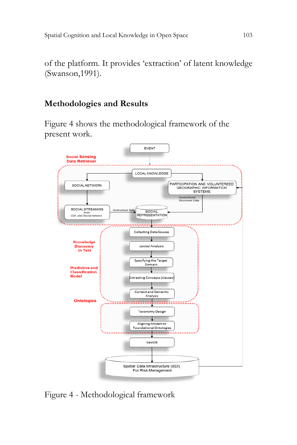of the platform. It provides 'extraction' of latent knowledge (Swanson,1991).

### **Methodologies and Results**

Figure 4 shows the methodological framework of the present work.



Figure 4 - Methodological framework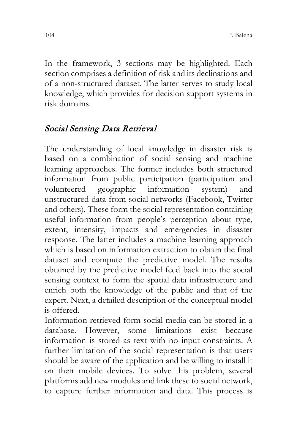In the framework, 3 sections may be highlighted. Each section comprises a definition of risk and its declinations and of a non-structured dataset. The latter serves to study local knowledge, which provides for decision support systems in risk domains.

# Social Sensing Data Retrieval

The understanding of local knowledge in disaster risk is based on a combination of social sensing and machine learning approaches. The former includes both structured information from public participation (participation and volunteered geographic information system) and unstructured data from social networks (Facebook, Twitter and others). These form the social representation containing useful information from people's perception about type, extent, intensity, impacts and emergencies in disaster response. The latter includes a machine learning approach which is based on information extraction to obtain the final dataset and compute the predictive model. The results obtained by the predictive model feed back into the social sensing context to form the spatial data infrastructure and enrich both the knowledge of the public and that of the expert. Next, a detailed description of the conceptual model is offered.

Information retrieved form social media can be stored in a database. However, some limitations exist because information is stored as text with no input constraints. A further limitation of the social representation is that users should be aware of the application and be willing to install it on their mobile devices. To solve this problem, several platforms add new modules and link these to social network, to capture further information and data. This process is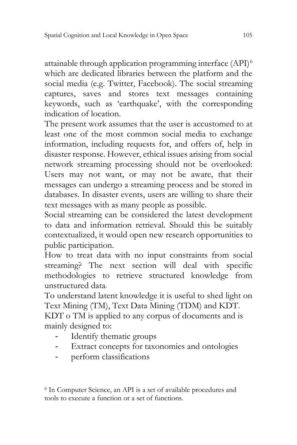attainable through application programming interface (API)[6](#page-12-0) which are dedicated libraries between the platform and the social media (e.g. Twitter, Facebook). The social streaming captures, saves and stores text messages containing keywords, such as 'earthquake', with the corresponding indication of location.

The present work assumes that the user is accustomed to at least one of the most common social media to exchange information, including requests for, and offers of, help in disaster response. However, ethical issues arising from social network streaming processing should not be overlooked: Users may not want, or may not be aware, that their messages can undergo a streaming process and be stored in databases. In disaster events, users are willing to share their text messages with as many people as possible.

Social streaming can be considered the latest development to data and information retrieval. Should this be suitably contextualized, it would open new research opportunities to public participation.

How to treat data with no input constraints from social streaming? The next section will deal with specific methodologies to retrieve structured knowledge from unstructured data.

To understand latent knowledge it is useful to shed light on Text Mining (TM), Text Data Mining (TDM) and KDT.

KDT o TM is applied to any corpus of documents and is mainly designed to:

- Identify thematic groups
- Extract concepts for taxonomies and ontologies
- perform classifications

<span id="page-12-0"></span><sup>6</sup> In Computer Science, an API is a set of available procedures and tools to execute a function or a set of functions.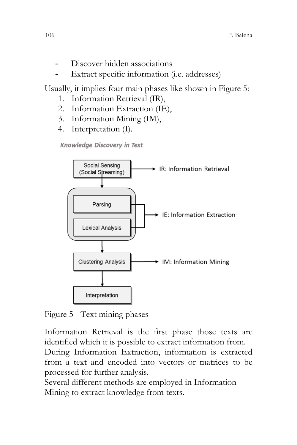- Discover hidden associations
- Extract specific information (i.e. addresses)

Usually, it implies four main phases like shown in Figure 5:

- 1. Information Retrieval (IR),
- 2. Information Extraction (IE),
- 3. Information Mining (IM),
- 4. Interpretation (I).

Knowledge Discovery in Text



Figure 5 - Text mining phases

Information Retrieval is the first phase those texts are identified which it is possible to extract information from. During Information Extraction, information is extracted from a text and encoded into vectors or matrices to be

processed for further analysis.

Several different methods are employed in Information Mining to extract knowledge from texts.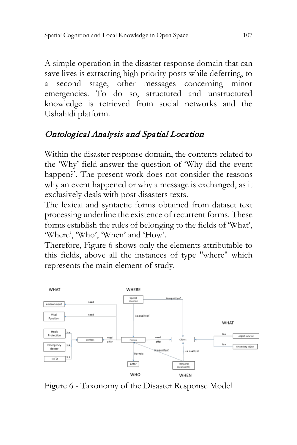A simple operation in the disaster response domain that can save lives is extracting high priority posts while deferring, to a second stage, other messages concerning minor emergencies. To do so, structured and unstructured knowledge is retrieved from social networks and the Ushahidi platform.

# Ontological Analysis and Spatial Location

Within the disaster response domain, the contents related to the 'Why' field answer the question of 'Why did the event happen?'. The present work does not consider the reasons why an event happened or why a message is exchanged, as it exclusively deals with post disasters texts.

The lexical and syntactic forms obtained from dataset text processing underline the existence of recurrent forms. These forms establish the rules of belonging to the fields of 'What', 'Where', 'Who', 'When' and 'How'.

Therefore, Figure 6 shows only the elements attributable to this fields, above all the instances of type "where" which represents the main element of study.



Figure 6 - Taxonomy of the Disaster Response Model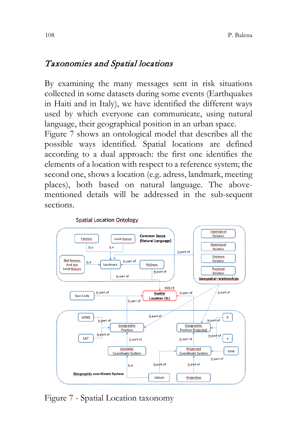## Taxonomies and Spatial locations

By examining the many messages sent in risk situations collected in some datasets during some events (Earthquakes in Haiti and in Italy), we have identified the different ways used by which everyone can communicate, using natural language, their geographical position in an urban space.

Figure 7 shows an ontological model that describes all the possible ways identified. Spatial locations are defined according to a dual approach: the first one identifies the elements of a location with respect to a reference system; the second one, shows a location (e.g. adress, landmark, meeting places), both based on natural language. The abovementioned details will be addressed in the sub-sequent sections.



Figure 7 - Spatial Location taxonomy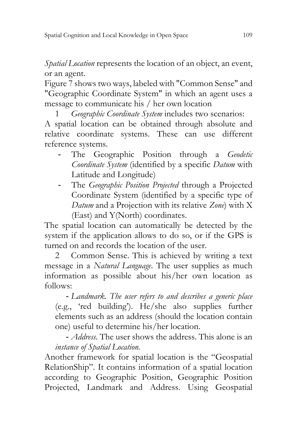*Spatial Location* represents the location of an object, an event, or an agent.

Figure 7 shows two ways, labeled with "Common Sense" and "Geographic Coordinate System" in which an agent uses a message to communicate his / her own location

1 *Geographic Coordinate System* includes two scenarios:

A spatial location can be obtained through absolute and relative coordinate systems. These can use different reference systems.

- The Geographic Position through a *Geodetic Coordinate System* (identified by a specific *Datum* with Latitude and Longitude)
- The *Geographic Position Projected* through a Projected Coordinate System (identified by a specific type of *Datum* and a Projection with its relative *Zone*) with X (East) and Y(North) coordinates.

The spatial location can automatically be detected by the system if the application allows to do so, or if the GPS is turned on and records the location of the user.

2 Common Sense. This is achieved by writing a text message in a *Natural Language*. The user supplies as much information as possible about his/her own location as follows:

- *Landmark. The user refers to and describes a generic place*  (e.g., 'red building'). He/she also supplies further elements such as an address (should the location contain one) useful to determine his/her location.

- *Address*. The user shows the address. This alone is an *instance of Spatial Location.*

Another framework for spatial location is the "Geospatial RelationShip". It contains information of a spatial location according to Geographic Position, Geographic Position Projected, Landmark and Address. Using Geospatial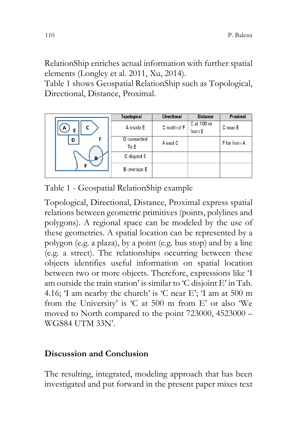RelationShip enriches actual information with further spatial elements (Longley et al. 2011, Xu, 2014).

Table 1 shows Geospatial RelationShip such as Topological, Directional, Distance, Proximal.

|             | Topological         | <b>Directional</b> | <b>Distance</b>      | Proximal     |
|-------------|---------------------|--------------------|----------------------|--------------|
| C<br>A<br>E | A inside E          | C north of F       | C at 100 m<br>from E | C near E     |
| F<br>D      | D connected<br>To E | A east C           |                      | F far from A |
| в           | C disjoint E        |                    |                      |              |
|             | <b>B</b> overlaps E |                    |                      |              |

Table 1 - Geospatial RelationShip example

Topological, Directional, Distance, Proximal express spatial relations between geometric primitives (points, polylines and polygons). A regional space can be modeled by the use of these geometries. A spatial location can be represented by a polygon (e.g. a plaza), by a point (e.g. bus stop) and by a line (e.g. a street). The relationships occurring between these objects identifies useful information on spatial location between two or more objects. Therefore, expressions like 'I am outside the train station' is similar to 'C disjoint E' in Tab. 4.16; 'I am nearby the church' is 'C near E'; 'I am at 500 m from the University' is 'C at 500 m from E' or also 'We moved to North compared to the point 723000, 4523000 – WGS84 UTM 33N'.

### **Discussion and Conclusion**

The resulting, integrated, modeling approach that has been investigated and put forward in the present paper mixes text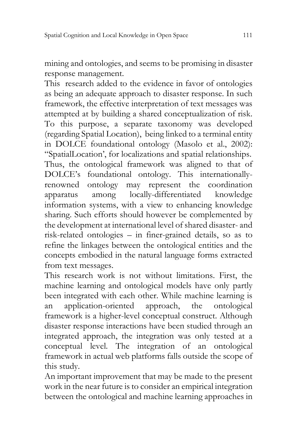mining and ontologies, and seems to be promising in disaster response management.

This research added to the evidence in favor of ontologies as being an adequate approach to disaster response. In such framework, the effective interpretation of text messages was attempted at by building a shared conceptualization of risk. To this purpose, a separate taxonomy was developed (regarding Spatial Location), being linked to a terminal entity in DOLCE foundational ontology (Masolo et al., 2002): "SpatialLocation', for localizations and spatial relationships. Thus, the ontological framework was aligned to that of DOLCE's foundational ontology. This internationallyrenowned ontology may represent the coordination apparatus among locally-differentiated knowledge information systems, with a view to enhancing knowledge sharing. Such efforts should however be complemented by the development at international level of shared disaster- and risk-related ontologies – in finer-grained details, so as to refine the linkages between the ontological entities and the concepts embodied in the natural language forms extracted from text messages.

This research work is not without limitations. First, the machine learning and ontological models have only partly been integrated with each other. While machine learning is an application-oriented approach, the ontological framework is a higher-level conceptual construct. Although disaster response interactions have been studied through an integrated approach, the integration was only tested at a conceptual level. The integration of an ontological framework in actual web platforms falls outside the scope of this study.

An important improvement that may be made to the present work in the near future is to consider an empirical integration between the ontological and machine learning approaches in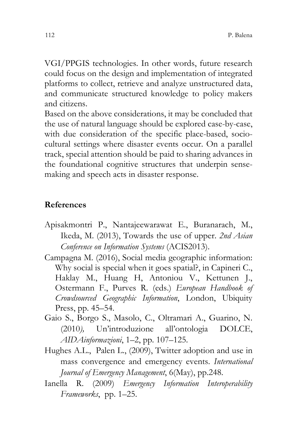VGI/PPGIS technologies. In other words, future research could focus on the design and implementation of integrated platforms to collect, retrieve and analyze unstructured data, and communicate structured knowledge to policy makers and citizens.

Based on the above considerations, it may be concluded that the use of natural language should be explored case-by-case, with due consideration of the specific place-based, sociocultural settings where disaster events occur. On a parallel track, special attention should be paid to sharing advances in the foundational cognitive structures that underpin sensemaking and speech acts in disaster response.

#### **References**

- Apisakmontri P., Nantajeewarawat E., Buranarach, M., Ikeda, M. (2013), Towards the use of upper. *2nd Asian Conference on Information Systems* (ACIS2013).
- Campagna M. (2016), Social media geographic information: Why social is special when it goes spatial?, in Capineri C., Haklay M., Huang H, Antoniou V., Kettunen J., Ostermann F., Purves R. (eds.) *European Handbook of Crowdsourced Geographic Information*, London, Ubiquity Press, pp. 45–54.
- Gaio S., Borgo S., Masolo, C., Oltramari A., Guarino, N. (2010*),* Un'introduzione all'ontologia DOLCE, *AIDAinformazioni*, 1–2, pp. 107–125.
- Hughes A.L., Palen L., (2009), Twitter adoption and use in mass convergence and emergency events. *International Journal of Emergency Management*, 6(May), pp.248.
- Ianella R. (2009) *Emergency Information Interoperability Frameworks*, pp. 1–25.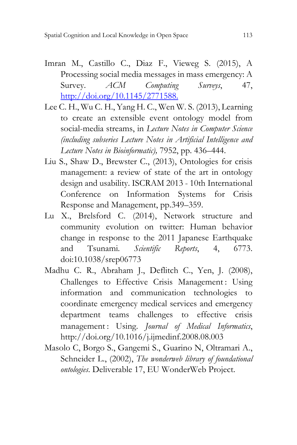- Imran M., Castillo C., Diaz F., Vieweg S. (2015), A Processing social media messages in mass emergency: A Survey. *ACM Computing Surveys*, 47, [http://doi.org/10.1145/2771588.](http://doi.org/10.1145/2771588)
- Lee C. H., Wu C. H., Yang H. C., Wen W. S. (2013), Learning to create an extensible event ontology model from social-media streams, in *Lecture Notes in Computer Science (including subseries Lecture Notes in Artificial Intelligence and Lecture Notes in Bioinformatic),* 7952, pp. 436–444.
- Liu S., Shaw D., Brewster C., (2013), Ontologies for crisis management: a review of state of the art in ontology design and usability. ISCRAM 2013 - 10th International Conference on Information Systems for Crisis Response and Management, pp.349–359.
- Lu X., Brelsford C. (2014), Network structure and community evolution on twitter: Human behavior change in response to the 2011 Japanese Earthquake and Tsunami. *Scientific Reports*, 4, 6773. doi:10.1038/srep06773
- Madhu C. R., Abraham J., Deflitch C., Yen, J. (2008), Challenges to Effective Crisis Management: Using information and communication technologies to coordinate emergency medical services and emergency department teams challenges to effective crisis management : Using. *Journal of Medical Informatics*, http://doi.org/10.1016/j.ijmedinf.2008.08.003
- Masolo C, Borgo S., Gangemi S., Guarino N, Oltramari A., Schneider L., (2002), *The wonderweb library of foundational ontologies*. Deliverable 17, EU WonderWeb Project.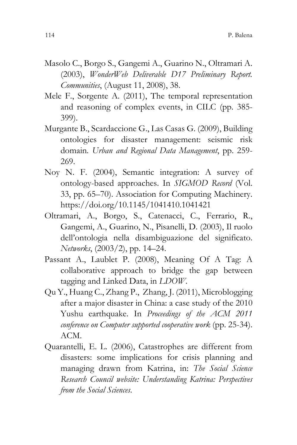- Masolo C., Borgo S., Gangemi A., Guarino N., Oltramari A. (2003), *WonderWeb Deliverable D17 Preliminary Report. Communities*, (August 11, 2008), 38.
- Mele F., Sorgente A. (2011), The temporal representation and reasoning of complex events, in CILC (pp. 385- 399).
- Murgante B., Scardaccione G., Las Casas G. (2009), Building ontologies for disaster management: seismic risk domain*. Urban and Regional Data Management*, pp. 259- 269.
- Noy N. F. (2004), Semantic integration: A survey of ontology-based approaches. In *SIGMOD Record* (Vol. 33, pp. 65–70). Association for Computing Machinery. https://doi.org/10.1145/1041410.1041421
- Oltramari, A., Borgo, S., Catenacci, C., Ferrario, R., Gangemi, A., Guarino, N., Pisanelli, D. (2003), Il ruolo dell'ontologia nella disambiguazione del significato. *Networks*, (2003/2), pp. 14–24.
- Passant A., Laublet P. (2008), Meaning Of A Tag: A collaborative approach to bridge the gap between tagging and Linked Data, in *LDOW*.
- Qu Y., Huang C., Zhang P., Zhang, J. (2011), Microblogging after a major disaster in China: a case study of the 2010 Yushu earthquake. In *Proceedings of the ACM 2011 conference on Computer supported cooperative work* (pp. 25-34). ACM.
- Quarantelli, E. L. (2006), Catastrophes are different from disasters: some implications for crisis planning and managing drawn from Katrina, in: *The Social Science Research Council website: Understanding Katrina: Perspectives from the Social Sciences*.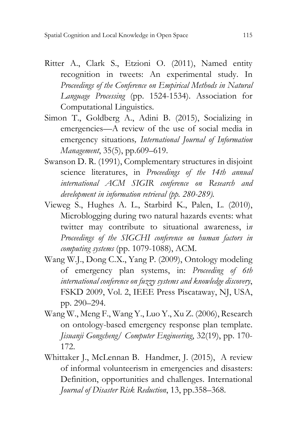- Ritter A., Clark S., Etzioni O. (2011), Named entity recognition in tweets: An experimental study. In *Proceedings of the Conference on Empirical Methods in Natural Language Processing* (pp. 1524-1534). Association for Computational Linguistics.
- Simon T., Goldberg A., Adini B. (2015), Socializing in emergencies—A review of the use of social media in emergency situations*, International Journal of Information Management*, 35(5), pp.609–619.
- Swanson D. R. (1991), Complementary structures in disjoint science literatures, in *Proceedings of the 14th annual international ACM SIGIR conference on Research and development in information retrieval (pp. 280-289).*
- Vieweg S., Hughes A. L., Starbird K., Palen, L. (2010), Microblogging during two natural hazards events: what twitter may contribute to situational awareness, i*n Proceedings of the SIGCHI conference on human factors in computing systems* (pp. 1079-1088), ACM.
- Wang W.J., Dong C.X., Yang P. (2009), Ontology modeling of emergency plan systems, in: *Proceeding of 6th international conference on fuzzy systems and knowledge discovery*, FSKD 2009, Vol. 2, IEEE Press Piscataway, NJ, USA, pp. 290–294.
- Wang W., Meng F., Wang Y., Luo Y., Xu Z. (2006), Research on ontology-based emergency response plan template. *Jisuanji Gongcheng/ Computer Engineering*, 32(19), pp. 170- 172.
- Whittaker J., McLennan B. Handmer, J. (2015), A review of informal volunteerism in emergencies and disasters: Definition, opportunities and challenges. International *Journal of Disaster Risk Reduction*, 13, pp.358–368.